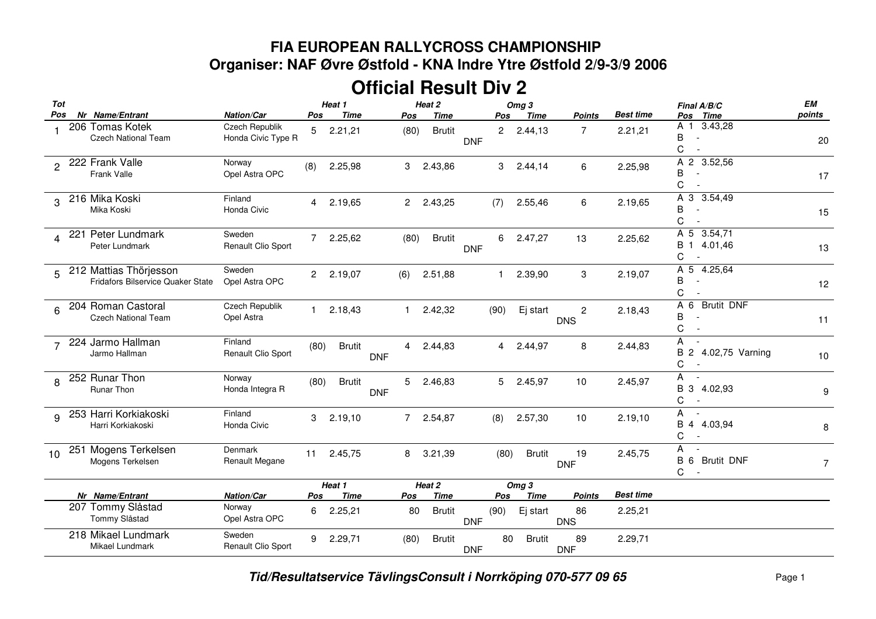## **FIA EUROPEAN RALLYCROSS CHAMPIONSHIP Organiser: NAF Øvre Østfold - KNA Indre Ytre Østfold 2/9-3/9 2006**

## **Official Result Div 2**

| Tot<br>Pos              |     | Nr Name/Entrant                                             | Nation/Car                             | Pos            | Heat 1<br><b>Time</b>  |            | Pos          | Heat 2<br><b>Time</b>        |            | Pos         | Omg <sub>3</sub><br><b>Time</b> | <b>Points</b>                     | <b>Best time</b>            | Final A/B/C<br><b>Time</b><br>Pos                                     | EM<br>points   |
|-------------------------|-----|-------------------------------------------------------------|----------------------------------------|----------------|------------------------|------------|--------------|------------------------------|------------|-------------|---------------------------------|-----------------------------------|-----------------------------|-----------------------------------------------------------------------|----------------|
|                         |     | 206 Tomas Kotek<br>Czech National Team                      | Czech Republik<br>Honda Civic Type R   | 5              | 2.21,21                |            | (80)         | <b>Brutit</b>                | <b>DNF</b> |             | 2 2.44,13                       | $\overline{7}$                    | 2.21,21                     | 3.43,28<br>A 1<br>В<br>C                                              | 20             |
| 2                       |     | 222 Frank Valle<br>Frank Valle                              | Norway<br>Opel Astra OPC               | (8)            | 2.25,98                |            | 3            | 2.43,86                      |            | 3           | 2.44,14                         | 6                                 | 2.25,98                     | A 2 3.52,56<br>B<br>C                                                 | 17             |
| 3                       |     | 216 Mika Koski<br>Mika Koski                                | Finland<br>Honda Civic                 | $\overline{4}$ | 2.19,65                |            | 2            | 2.43,25                      |            | (7)         | 2.55,46                         | 6                                 | 2.19,65                     | A 3 3.54,49<br>B<br>C                                                 | 15             |
| $\overline{\mathbf{4}}$ | 221 | Peter Lundmark<br>Peter Lundmark                            | Sweden<br>Renault Clio Sport           | $\overline{7}$ | 2.25,62                |            | (80)         | <b>Brutit</b>                | <b>DNF</b> | 6           | 2.47,27                         | 13                                | 2.25,62                     | A 5 3.54,71<br><b>B</b> 1<br>4.01,46<br>C<br>$\overline{\phantom{a}}$ | 13             |
| 5                       |     | 212 Mattias Thörjesson<br>Fridafors Bilservice Quaker State | Sweden<br>Opel Astra OPC               | $\overline{2}$ | 2.19,07                |            | (6)          | 2.51,88                      |            | 1           | 2.39,90                         | 3                                 | 2.19,07                     | A 5<br>4.25,64<br>B<br>$\overline{a}$<br>C                            | 12             |
| 6                       |     | 204 Roman Castoral<br><b>Czech National Team</b>            | Czech Republik<br>Opel Astra           | $\mathbf{1}$   | 2.18,43                |            | $\mathbf{1}$ | 2.42,32                      |            | (90)        | Ej start                        | $\overline{c}$<br><b>DNS</b>      | 2.18,43                     | A <sub>6</sub><br><b>Brutit DNF</b><br>B<br>С                         | 11             |
| $\overline{7}$          |     | 224 Jarmo Hallman<br>Jarmo Hallman                          | Finland<br>Renault Clio Sport          | (80)           | <b>Brutit</b>          | <b>DNF</b> | 4            | 2.44,83                      |            | 4           | 2.44,97                         | 8                                 | 2.44,83                     | A<br>$\overline{a}$<br>B 2 4.02,75 Varning<br>С<br>$\overline{a}$     | $10$           |
| 8                       |     | 252 Runar Thon<br><b>Runar Thon</b>                         | Norway<br>Honda Integra R              | (80)           | <b>Brutit</b>          | <b>DNF</b> | 5            | 2.46,83                      |            | 5           | 2.45,97                         | 10                                | 2.45,97                     | A<br>B 3 4.02,93<br>С<br>$\overline{\phantom{a}}$                     | 9              |
| 9                       |     | 253 Harri Korkiakoski<br>Harri Korkiakoski                  | Finland<br>Honda Civic                 | 3              | 2.19,10                |            |              | 7 2.54,87                    |            | (8)         | 2.57,30                         | 10                                | 2.19,10                     | Α<br><b>B</b> 4<br>4.03,94<br>C                                       | 8              |
| 10                      |     | 251 Mogens Terkelsen<br>Mogens Terkelsen                    | Denmark<br>Renault Megane              | 11             | 2.45,75                |            | 8            | 3.21,39                      |            | (80)        | <b>Brutit</b>                   | 19<br><b>DNF</b>                  | 2.45,75                     | A<br>$\overline{\phantom{a}}$<br><b>Brutit DNF</b><br><b>B</b> 6<br>C | $\overline{7}$ |
|                         |     |                                                             |                                        |                | Heat 1                 |            |              | Heat 2                       |            |             | Omg <sub>3</sub>                |                                   |                             |                                                                       |                |
|                         |     | Nr Name/Entrant<br>207 Tommy Slåstad<br>Tommy Slåstad       | Nation/Car<br>Norway<br>Opel Astra OPC | Pos<br>6       | <b>Time</b><br>2.25,21 |            | Pos<br>80    | <b>Time</b><br><b>Brutit</b> | <b>DNF</b> | Pos<br>(90) | Time<br>Ej start                | <b>Points</b><br>86<br><b>DNS</b> | <b>Best time</b><br>2.25,21 |                                                                       |                |
|                         |     | 218 Mikael Lundmark<br>Mikael Lundmark                      | Sweden<br>Renault Clio Sport           | 9              | 2.29,71                |            | (80)         | <b>Brutit</b>                | <b>DNF</b> | 80          | <b>Brutit</b>                   | 89<br><b>DNF</b>                  | 2.29,71                     |                                                                       |                |